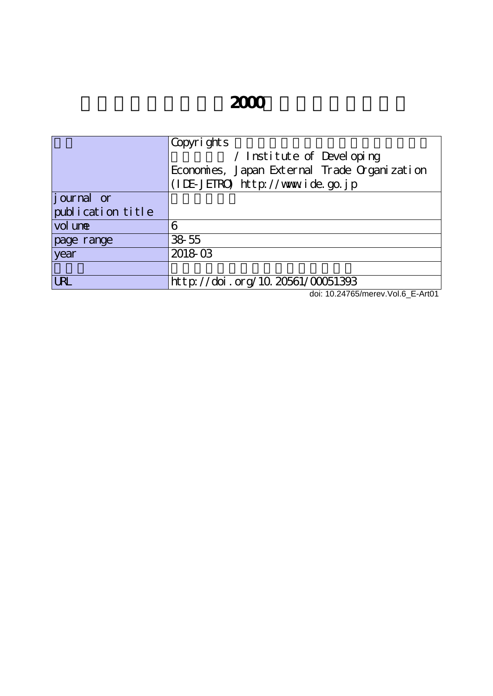# **2000**

|                   | Copyrights                                                                                                                                                                                                                                                                                                                                                                                           |
|-------------------|------------------------------------------------------------------------------------------------------------------------------------------------------------------------------------------------------------------------------------------------------------------------------------------------------------------------------------------------------------------------------------------------------|
|                   | / Institute of Developing                                                                                                                                                                                                                                                                                                                                                                            |
|                   | Economies, Japan External Trade Organization                                                                                                                                                                                                                                                                                                                                                         |
|                   | (IDE-JETRO) http://www.ide.go.jp                                                                                                                                                                                                                                                                                                                                                                     |
| journal or        |                                                                                                                                                                                                                                                                                                                                                                                                      |
| publication title |                                                                                                                                                                                                                                                                                                                                                                                                      |
| vol une           | 6                                                                                                                                                                                                                                                                                                                                                                                                    |
| page range        | 38 55                                                                                                                                                                                                                                                                                                                                                                                                |
| year              | 2018-03                                                                                                                                                                                                                                                                                                                                                                                              |
|                   |                                                                                                                                                                                                                                                                                                                                                                                                      |
| <b>URL</b>        | http://doi.org/10.20561/00051393<br>$\mathbf{1}$ $\mathbf{1}$ $\mathbf{2}$ $\mathbf{3}$ $\mathbf{4}$ $\mathbf{3}$ $\mathbf{5}$ $\mathbf{4}$ $\mathbf{5}$ $\mathbf{5}$ $\mathbf{6}$ $\mathbf{7}$ $\mathbf{8}$ $\mathbf{8}$ $\mathbf{1}$ $\mathbf{5}$ $\mathbf{1}$ $\mathbf{5}$ $\mathbf{1}$ $\mathbf{1}$ $\mathbf{1}$ $\mathbf{1}$ $\mathbf{1}$ $\mathbf{1}$ $\mathbf{$<br>$\cdots$ $\cdots$ $\cdots$ |

doi: 10.24765/merev.Vol.6\_E-Art01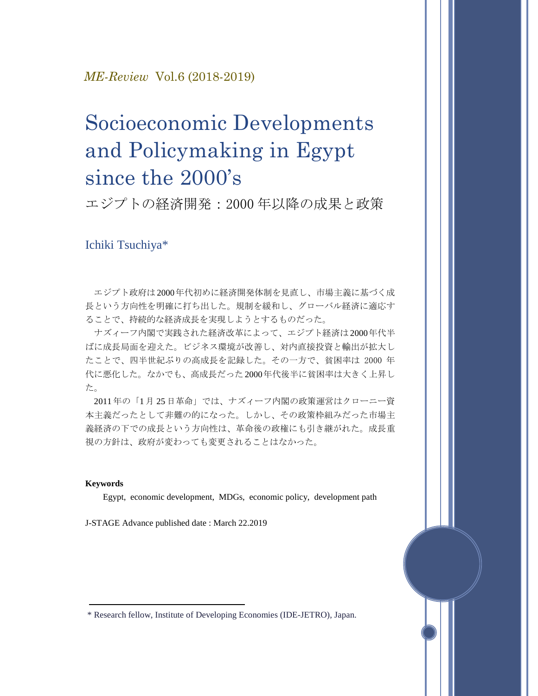### *ME-Review* Vol.6 (2018-2019)

# Socioeconomic Developments and Policymaking in Egypt since the 2000's

エジプトの経済開発:2000 年以降の成果と政策

## Ichiki Tsuchiya\*

エジプト政府は 2000年代初めに経済開発体制を見直し、市場主義に基づく成 長という方向性を明確に打ち出した。規制を緩和し、グローバル経済に適応す ることで、持続的な経済成長を実現しようとするものだった。

ナズィーフ内閣で実践された経済改革によって、エジプト経済は2000年代半 ばに成長局面を迎えた。ビジネス環境が改善し、対内直接投資と輸出が拡大し たことで、四半世紀ぶりの高成長を記録した。その一方で、貧困率は 2000 年 代に悪化した。なかでも、高成長だった 2000年代後半に貧困率は大きく上昇し た。

2011 年の「1 月 25 日革命」では、ナズィーフ内閣の政策運営はクローニー資 本主義だったとして非難の的になった。しかし、その政策枠組みだった市場主 義経済の下での成長という方向性は、革命後の政権にも引き継がれた。成長重 視の方針は、政府が変わっても変更されることはなかった。

#### **Keywords**

Egypt, economic development, MDGs, economic policy, development path

J-STAGE Advance published date : March 22.2019

\* Research fellow, Institute of Developing Economies (IDE-JETRO), Japan.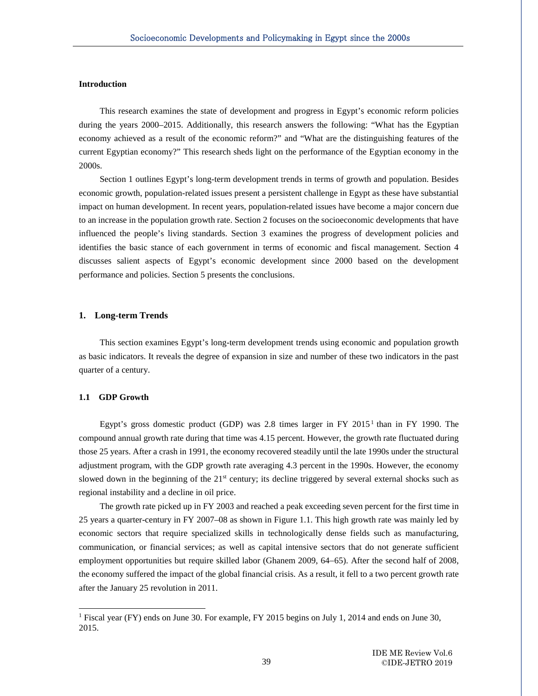#### **Introduction**

Ī

This research examines the state of development and progress in Egypt's economic reform policies during the years 2000–2015. Additionally, this research answers the following: "What has the Egyptian economy achieved as a result of the economic reform?" and "What are the distinguishing features of the current Egyptian economy?" This research sheds light on the performance of the Egyptian economy in the 2000s.

Section 1 outlines Egypt's long-term development trends in terms of growth and population. Besides economic growth, population-related issues present a persistent challenge in Egypt as these have substantial impact on human development. In recent years, population-related issues have become a major concern due to an increase in the population growth rate. Section 2 focuses on the socioeconomic developments that have influenced the people's living standards. Section 3 examines the progress of development policies and identifies the basic stance of each government in terms of economic and fiscal management. Section 4 discusses salient aspects of Egypt's economic development since 2000 based on the development performance and policies. Section 5 presents the conclusions.

#### **1. Long-term Trends**

This section examines Egypt's long-term development trends using economic and population growth as basic indicators. It reveals the degree of expansion in size and number of these two indicators in the past quarter of a century.

#### **1.1 GDP Growth**

-

Egypt's gross domestic product (GDP) was 2.8 times larger in FY  $2015<sup>1</sup>$  $2015<sup>1</sup>$  $2015<sup>1</sup>$  than in FY 1990. The compound annual growth rate during that time was 4.15 percent. However, the growth rate fluctuated during those 25 years. After a crash in 1991, the economy recovered steadily until the late 1990s under the structural adjustment program, with the GDP growth rate averaging 4.3 percent in the 1990s. However, the economy slowed down in the beginning of the  $21<sup>st</sup>$  century; its decline triggered by several external shocks such as regional instability and a decline in oil price.

The growth rate picked up in FY 2003 and reached a peak exceeding seven percent for the first time in 25 years a quarter-century in FY 2007–08 as shown in Figure 1.1. This high growth rate was mainly led by economic sectors that require specialized skills in technologically dense fields such as manufacturing, communication, or financial services; as well as capital intensive sectors that do not generate sufficient employment opportunities but require skilled labor (Ghanem 2009, 64−65). After the second half of 2008, the economy suffered the impact of the global financial crisis. As a result, it fell to a two percent growth rate after the January 25 revolution in 2011.

<span id="page-2-0"></span><sup>1</sup> Fiscal year (FY) ends on June 30. For example, FY 2015 begins on July 1, 2014 and ends on June 30, 2015.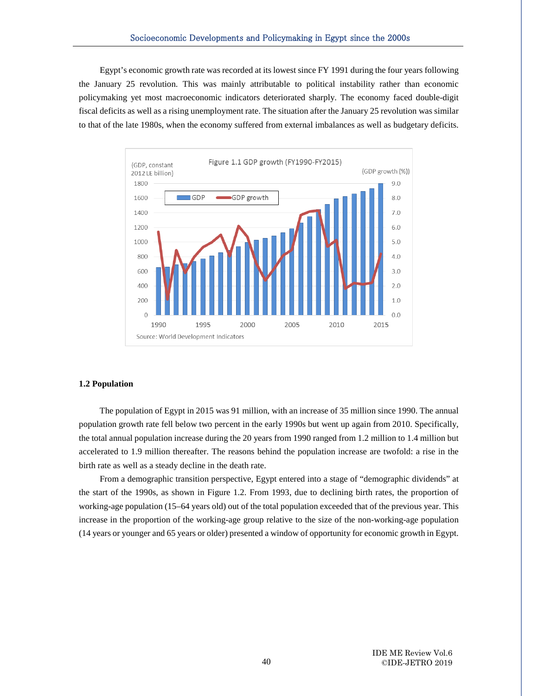Egypt's economic growth rate was recorded at its lowest since FY 1991 during the four years following the January 25 revolution. This was mainly attributable to political instability rather than economic policymaking yet most macroeconomic indicators deteriorated sharply. The economy faced double-digit fiscal deficits as well as a rising unemployment rate. The situation after the January 25 revolution was similar to that of the late 1980s, when the economy suffered from external imbalances as well as budgetary deficits.



#### **1.2 Population**

Ī

The population of Egypt in 2015 was 91 million, with an increase of 35 million since 1990. The annual population growth rate fell below two percent in the early 1990s but went up again from 2010. Specifically, the total annual population increase during the 20 years from 1990 ranged from 1.2 million to 1.4 million but accelerated to 1.9 million thereafter. The reasons behind the population increase are twofold: a rise in the birth rate as well as a steady decline in the death rate.

From a demographic transition perspective, Egypt entered into a stage of "demographic dividends" at the start of the 1990s, as shown in Figure 1.2. From 1993, due to declining birth rates, the proportion of working-age population (15–64 years old) out of the total population exceeded that of the previous year. This increase in the proportion of the working-age group relative to the size of the non-working-age population (14 years or younger and 65 years or older) presented a window of opportunity for economic growth in Egypt.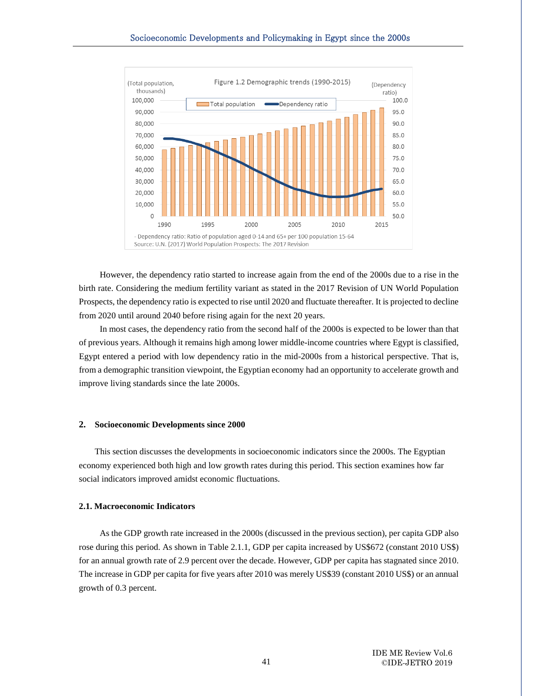

However, the dependency ratio started to increase again from the end of the 2000s due to a rise in the birth rate. Considering the medium fertility variant as stated in the 2017 Revision of UN World Population Prospects, the dependency ratio is expected to rise until 2020 and fluctuate thereafter. It is projected to decline from 2020 until around 2040 before rising again for the next 20 years.

In most cases, the dependency ratio from the second half of the 2000s is expected to be lower than that of previous years. Although it remains high among lower middle-income countries where Egypt is classified, Egypt entered a period with low dependency ratio in the mid-2000s from a historical perspective. That is, from a demographic transition viewpoint, the Egyptian economy had an opportunity to accelerate growth and improve living standards since the late 2000s.

#### **2. Socioeconomic Developments since 2000**

This section discusses the developments in socioeconomic indicators since the 2000s. The Egyptian economy experienced both high and low growth rates during this period. This section examines how far social indicators improved amidst economic fluctuations.

#### **2.1. Macroeconomic Indicators**

Ī

As the GDP growth rate increased in the 2000s (discussed in the previous section), per capita GDP also rose during this period. As shown in Table 2.1.1, GDP per capita increased by US\$672 (constant 2010 US\$) for an annual growth rate of 2.9 percent over the decade. However, GDP per capita has stagnated since 2010. The increase in GDP per capita for five years after 2010 was merely US\$39 (constant 2010 US\$) or an annual growth of 0.3 percent.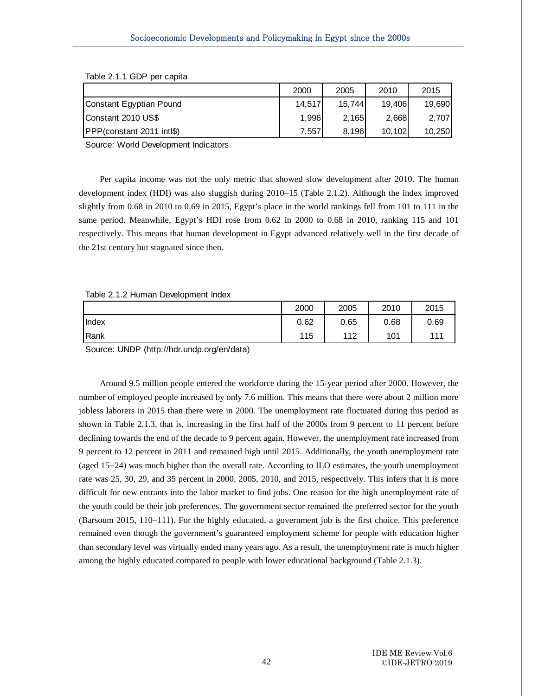|                                   | 2000   | 2005   | 2010   | 2015   |
|-----------------------------------|--------|--------|--------|--------|
| Constant Egyptian Pound           | 14.517 | 15.744 | 19.406 | 19.690 |
| Constant 2010 US\$                | 1.996  | 2.165  | 2.668  | 2.707  |
| <b>PPP</b> (constant 2011 intl\$) | 7,557  | 8.196  | 10.102 | 10,250 |

Table 2.1.1 GDP per capita

Ī

Source: World Development Indicators

Per capita income was not the only metric that showed slow development after 2010. The human development index (HDI) was also sluggish during 2010−15 (Table 2.1.2). Although the index improved slightly from 0.68 in 2010 to 0.69 in 2015, Egypt's place in the world rankings fell from 101 to 111 in the same period. Meanwhile, Egypt's HDI rose from 0.62 in 2000 to 0.68 in 2010, ranking 115 and 101 respectively. This means that human development in Egypt advanced relatively well in the first decade of the 21st century but stagnated since then.

#### Table 2.1.2 Human Development Index

|             | 2000 | 2005 | 2010 | 2015 |
|-------------|------|------|------|------|
| Index       | 0.62 | 0.65 | 0.68 | 0.69 |
| <b>Rank</b> | 115  | 112  | 101  | 111  |

Source: UNDP (http://hdr.undp.org/en/data)

Around 9.5 million people entered the workforce during the 15-year period after 2000. However, the number of employed people increased by only 7.6 million. This means that there were about 2 million more jobless laborers in 2015 than there were in 2000. The unemployment rate fluctuated during this period as shown in Table 2.1.3, that is, increasing in the first half of the 2000s from 9 percent to 11 percent before declining towards the end of the decade to 9 percent again. However, the unemployment rate increased from 9 percent to 12 percent in 2011 and remained high until 2015. Additionally, the youth unemployment rate (aged 15−24) was much higher than the overall rate. According to ILO estimates, the youth unemployment rate was 25, 30, 29, and 35 percent in 2000, 2005, 2010, and 2015, respectively. This infers that it is more difficult for new entrants into the labor market to find jobs. One reason for the high unemployment rate of the youth could be their job preferences. The government sector remained the preferred sector for the youth (Barsoum 2015, 110−111). For the highly educated, a government job is the first choice. This preference remained even though the government's guaranteed employment scheme for people with education higher than secondary level was virtually ended many years ago. As a result, the unemployment rate is much higher among the highly educated compared to people with lower educational background (Table 2.1.3).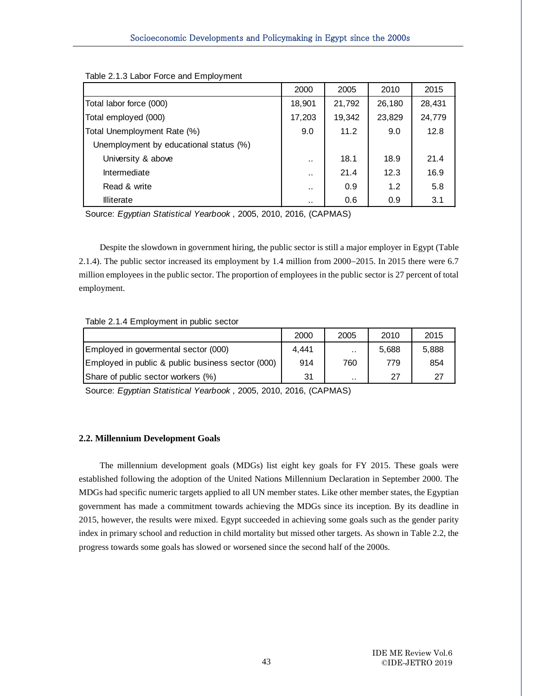|                                        | 2000      | 2005   | 2010   | 2015   |
|----------------------------------------|-----------|--------|--------|--------|
| Total labor force (000)                | 18,901    | 21,792 | 26,180 | 28,431 |
| Total employed (000)                   | 17,203    | 19,342 | 23,829 | 24,779 |
| Total Unemployment Rate (%)            | 9.0       | 11.2   | 9.0    | 12.8   |
| Unemployment by educational status (%) |           |        |        |        |
| University & above                     | . .       | 18.1   | 18.9   | 21.4   |
| Intermediate                           | $\cdot$ . | 21.4   | 12.3   | 16.9   |
| Read & write                           | $\cdot$ . | 0.9    | 1.2    | 5.8    |
| <b>Illiterate</b>                      |           | 0.6    | 0.9    | 3.1    |

Table 2.1.3 Labor Force and Employment

Ī

Source: *Egyptian Statistical Yearbook* , 2005, 2010, 2016, (CAPMAS)

Despite the slowdown in government hiring, the public sector is still a major employer in Egypt (Table 2.1.4). The public sector increased its employment by 1.4 million from 2000−2015. In 2015 there were 6.7 million employees in the public sector. The proportion of employees in the public sector is 27 percent of total employment.

#### Table 2.1.4 Employment in public sector

|                                                   | 2000  | 2005                 | 2010  | 2015  |
|---------------------------------------------------|-------|----------------------|-------|-------|
| Employed in govermental sector (000)              | 4.441 | $\ddot{\phantom{a}}$ | 5.688 | 5.888 |
| Employed in public & public business sector (000) | 914   | 760                  | 779   | 854   |
| Share of public sector workers (%)                | 31    | $\ddot{\phantom{0}}$ | 27    | 27    |

Source: *Egyptian Statistical Yearbook* , 2005, 2010, 2016, (CAPMAS)

#### **2.2. Millennium Development Goals**

The millennium development goals (MDGs) list eight key goals for FY 2015. These goals were established following the adoption of the United Nations Millennium Declaration in September 2000. The MDGs had specific numeric targets applied to all UN member states. Like other member states, the Egyptian government has made a commitment towards achieving the MDGs since its inception. By its deadline in 2015, however, the results were mixed. Egypt succeeded in achieving some goals such as the gender parity index in primary school and reduction in child mortality but missed other targets. As shown in Table 2.2, the progress towards some goals has slowed or worsened since the second half of the 2000s.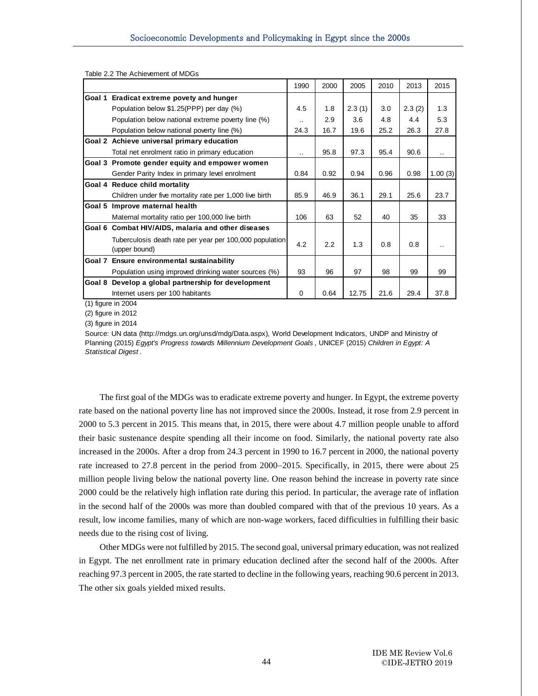|                                                                          | 1990      | 2000 | 2005   | 2010 | 2013   | 2015    |
|--------------------------------------------------------------------------|-----------|------|--------|------|--------|---------|
| Goal 1 Eradicat extreme povety and hunger                                |           |      |        |      |        |         |
| Population below \$1.25(PPP) per day (%)                                 | 4.5       | 1.8  | 2.3(1) | 3.0  | 2.3(2) | 1.3     |
| Population below national extreme poverty line (%)                       | $\cdot$ . | 2.9  | 3.6    | 4.8  | 4.4    | 5.3     |
| Population below national poverty line (%)                               | 24.3      | 16.7 | 19.6   | 25.2 | 26.3   | 27.8    |
| Goal 2 Achieve universal primary education                               |           |      |        |      |        |         |
| Total net enrolment ratio in primary education                           | $\cdot$ . | 95.8 | 97.3   | 95.4 | 90.6   |         |
| Goal 3 Promote gender equity and empower women                           |           |      |        |      |        |         |
| Gender Parity Index in primary level enrolment                           | 0.84      | 0.92 | 0.94   | 0.96 | 0.98   | 1.00(3) |
| Goal 4 Reduce child mortality                                            |           |      |        |      |        |         |
| Children under five mortality rate per 1,000 live birth                  | 85.9      | 46.9 | 36.1   | 29.1 | 25.6   | 23.7    |
| Goal 5 Improve maternal health                                           |           |      |        |      |        |         |
| Maternal mortality ratio per 100,000 live birth                          | 106       | 63   | 52     | 40   | 35     | 33      |
| Goal 6 Combat HIV/AIDS, malaria and other diseases                       |           |      |        |      |        |         |
| Tuberculosis death rate per year per 100,000 population<br>(upper bound) | 4.2       | 2.2  | 1.3    | 0.8  | 0.8    |         |
| Goal 7 Ensure environmental sustainability                               |           |      |        |      |        |         |
| Population using improved drinking water sources (%)                     | 93        | 96   | 97     | 98   | 99     | 99      |
| Goal 8 Develop a global partnership for development                      |           |      |        |      |        |         |
| Internet users per 100 habitants                                         | $\Omega$  | 0.64 | 12.75  | 21.6 | 29.4   | 37.8    |

Table 2.2 The Achievement of MDGs

Ī

(1) figure in 2004

(2) figure in 2012

(3) figure in 2014

Source: UN data (http://mdgs.un.org/unsd/mdg/Data.aspx), World Development Indicators, UNDP and Ministry of Planning (2015) *Egypt's Progress towards Millennium Development Goals* , UNICEF (2015) *Children in Egypt: A Statistical Digest* .

The first goal of the MDGs was to eradicate extreme poverty and hunger. In Egypt, the extreme poverty rate based on the national poverty line has not improved since the 2000s. Instead, it rose from 2.9 percent in 2000 to 5.3 percent in 2015. This means that, in 2015, there were about 4.7 million people unable to afford their basic sustenance despite spending all their income on food. Similarly, the national poverty rate also increased in the 2000s. After a drop from 24.3 percent in 1990 to 16.7 percent in 2000, the national poverty rate increased to 27.8 percent in the period from 2000−2015. Specifically, in 2015, there were about 25 million people living below the national poverty line. One reason behind the increase in poverty rate since 2000 could be the relatively high inflation rate during this period. In particular, the average rate of inflation in the second half of the 2000s was more than doubled compared with that of the previous 10 years. As a result, low income families, many of which are non-wage workers, faced difficulties in fulfilling their basic needs due to the rising cost of living.

Other MDGs were not fulfilled by 2015. The second goal, universal primary education, was not realized in Egypt. The net enrollment rate in primary education declined after the second half of the 2000s. After reaching 97.3 percent in 2005, the rate started to decline in the following years, reaching 90.6 percent in 2013. The other six goals yielded mixed results.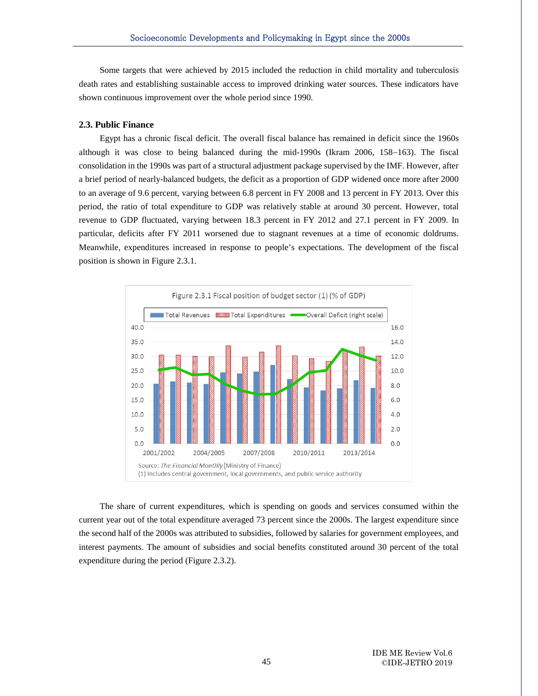Some targets that were achieved by 2015 included the reduction in child mortality and tuberculosis death rates and establishing sustainable access to improved drinking water sources. These indicators have shown continuous improvement over the whole period since 1990.

#### **2.3. Public Finance**

Ī

Egypt has a chronic fiscal deficit. The overall fiscal balance has remained in deficit since the 1960s although it was close to being balanced during the mid-1990s (Ikram 2006, 158−163). The fiscal consolidation in the 1990s was part of a structural adjustment package supervised by the IMF. However, after a brief period of nearly-balanced budgets, the deficit as a proportion of GDP widened once more after 2000 to an average of 9.6 percent, varying between 6.8 percent in FY 2008 and 13 percent in FY 2013. Over this period, the ratio of total expenditure to GDP was relatively stable at around 30 percent. However, total revenue to GDP fluctuated, varying between 18.3 percent in FY 2012 and 27.1 percent in FY 2009. In particular, deficits after FY 2011 worsened due to stagnant revenues at a time of economic doldrums. Meanwhile, expenditures increased in response to people's expectations. The development of the fiscal position is shown in Figure 2.3.1.



The share of current expenditures, which is spending on goods and services consumed within the current year out of the total expenditure averaged 73 percent since the 2000s. The largest expenditure since the second half of the 2000s was attributed to subsidies, followed by salaries for government employees, and interest payments. The amount of subsidies and social benefits constituted around 30 percent of the total expenditure during the period (Figure 2.3.2).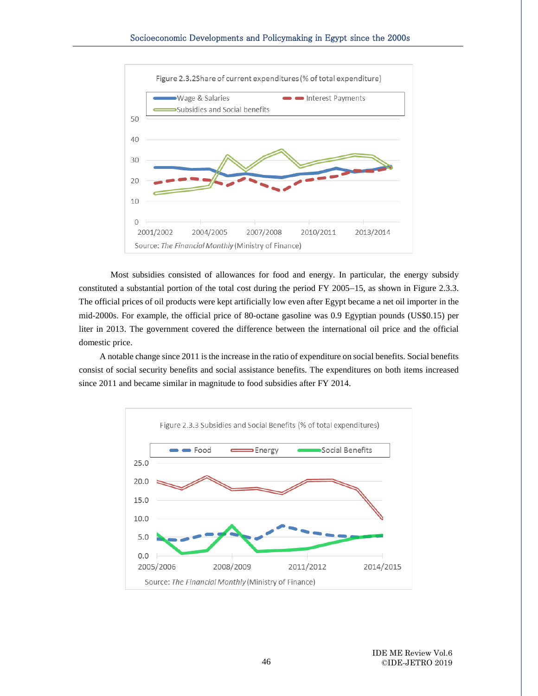Ī



Most subsidies consisted of allowances for food and energy. In particular, the energy subsidy constituted a substantial portion of the total cost during the period FY 2005−15, as shown in Figure 2.3.3. The official prices of oil products were kept artificially low even after Egypt became a net oil importer in the mid-2000s. For example, the official price of 80-octane gasoline was 0.9 Egyptian pounds (US\$0.15) per liter in 2013. The government covered the difference between the international oil price and the official domestic price.

A notable change since 2011 is the increase in the ratio of expenditure on social benefits. Social benefits consist of social security benefits and social assistance benefits. The expenditures on both items increased since 2011 and became similar in magnitude to food subsidies after FY 2014.

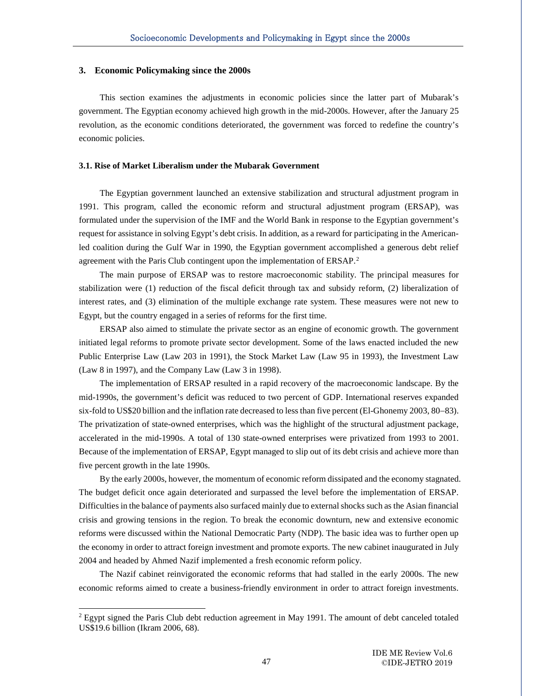#### **3. Economic Policymaking since the 2000s**

Ī

-

This section examines the adjustments in economic policies since the latter part of Mubarak's government. The Egyptian economy achieved high growth in the mid-2000s. However, after the January 25 revolution, as the economic conditions deteriorated, the government was forced to redefine the country's economic policies.

#### **3.1. Rise of Market Liberalism under the Mubarak Government**

The Egyptian government launched an extensive stabilization and structural adjustment program in 1991. This program, called the economic reform and structural adjustment program (ERSAP), was formulated under the supervision of the IMF and the World Bank in response to the Egyptian government's request for assistance in solving Egypt's debt crisis. In addition, as a reward for participating in the Americanled coalition during the Gulf War in 1990, the Egyptian government accomplished a generous debt relief agreement with the Paris Club contingent upon the implementation of ERSAP.<sup>[2](#page-10-0)</sup>

The main purpose of ERSAP was to restore macroeconomic stability. The principal measures for stabilization were (1) reduction of the fiscal deficit through tax and subsidy reform, (2) liberalization of interest rates, and (3) elimination of the multiple exchange rate system. These measures were not new to Egypt, but the country engaged in a series of reforms for the first time.

ERSAP also aimed to stimulate the private sector as an engine of economic growth. The government initiated legal reforms to promote private sector development. Some of the laws enacted included the new Public Enterprise Law (Law 203 in 1991), the Stock Market Law (Law 95 in 1993), the Investment Law (Law 8 in 1997), and the Company Law (Law 3 in 1998).

The implementation of ERSAP resulted in a rapid recovery of the macroeconomic landscape. By the mid-1990s, the government's deficit was reduced to two percent of GDP. International reserves expanded six-fold to US\$20 billion and the inflation rate decreased to less than five percent (El-Ghonemy 2003, 80−83). The privatization of state-owned enterprises, which was the highlight of the structural adjustment package, accelerated in the mid-1990s. A total of 130 state-owned enterprises were privatized from 1993 to 2001. Because of the implementation of ERSAP, Egypt managed to slip out of its debt crisis and achieve more than five percent growth in the late 1990s.

By the early 2000s, however, the momentum of economic reform dissipated and the economy stagnated. The budget deficit once again deteriorated and surpassed the level before the implementation of ERSAP. Difficulties in the balance of payments also surfaced mainly due to external shocks such as the Asian financial crisis and growing tensions in the region. To break the economic downturn, new and extensive economic reforms were discussed within the National Democratic Party (NDP). The basic idea was to further open up the economy in order to attract foreign investment and promote exports. The new cabinet inaugurated in July 2004 and headed by Ahmed Nazif implemented a fresh economic reform policy.

The Nazif cabinet reinvigorated the economic reforms that had stalled in the early 2000s. The new economic reforms aimed to create a business-friendly environment in order to attract foreign investments.

<span id="page-10-0"></span> $2$  Egypt signed the Paris Club debt reduction agreement in May 1991. The amount of debt canceled totaled US\$19.6 billion (Ikram 2006, 68).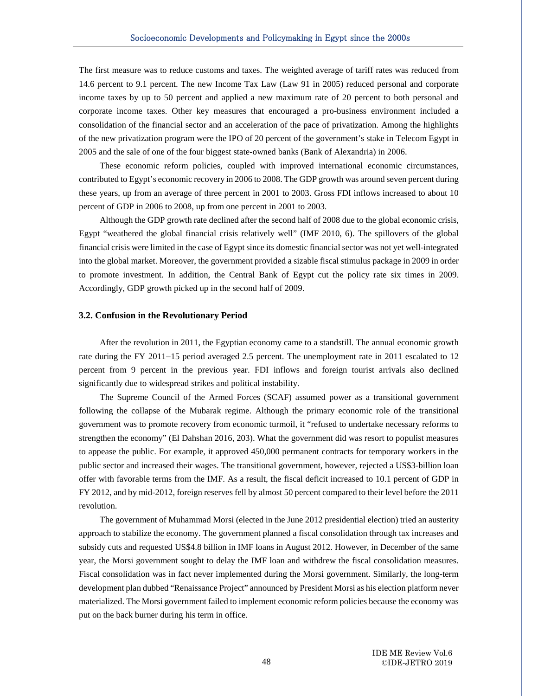The first measure was to reduce customs and taxes. The weighted average of tariff rates was reduced from 14.6 percent to 9.1 percent. The new Income Tax Law (Law 91 in 2005) reduced personal and corporate income taxes by up to 50 percent and applied a new maximum rate of 20 percent to both personal and corporate income taxes. Other key measures that encouraged a pro-business environment included a consolidation of the financial sector and an acceleration of the pace of privatization. Among the highlights of the new privatization program were the IPO of 20 percent of the government's stake in Telecom Egypt in 2005 and the sale of one of the four biggest state-owned banks (Bank of Alexandria) in 2006.

These economic reform policies, coupled with improved international economic circumstances, contributed to Egypt's economic recovery in 2006 to 2008. The GDP growth was around seven percent during these years, up from an average of three percent in 2001 to 2003. Gross FDI inflows increased to about 10 percent of GDP in 2006 to 2008, up from one percent in 2001 to 2003.

Although the GDP growth rate declined after the second half of 2008 due to the global economic crisis, Egypt "weathered the global financial crisis relatively well" (IMF 2010, 6). The spillovers of the global financial crisis were limited in the case of Egypt since its domestic financial sector was not yet well-integrated into the global market. Moreover, the government provided a sizable fiscal stimulus package in 2009 in order to promote investment. In addition, the Central Bank of Egypt cut the policy rate six times in 2009. Accordingly, GDP growth picked up in the second half of 2009.

#### **3.2. Confusion in the Revolutionary Period**

Ī

After the revolution in 2011, the Egyptian economy came to a standstill. The annual economic growth rate during the FY 2011−15 period averaged 2.5 percent. The unemployment rate in 2011 escalated to 12 percent from 9 percent in the previous year. FDI inflows and foreign tourist arrivals also declined significantly due to widespread strikes and political instability.

The Supreme Council of the Armed Forces (SCAF) assumed power as a transitional government following the collapse of the Mubarak regime. Although the primary economic role of the transitional government was to promote recovery from economic turmoil, it "refused to undertake necessary reforms to strengthen the economy" (El Dahshan 2016, 203). What the government did was resort to populist measures to appease the public. For example, it approved 450,000 permanent contracts for temporary workers in the public sector and increased their wages. The transitional government, however, rejected a US\$3-billion loan offer with favorable terms from the IMF. As a result, the fiscal deficit increased to 10.1 percent of GDP in FY 2012, and by mid-2012, foreign reserves fell by almost 50 percent compared to their level before the 2011 revolution.

The government of Muhammad Morsi (elected in the June 2012 presidential election) tried an austerity approach to stabilize the economy. The government planned a fiscal consolidation through tax increases and subsidy cuts and requested US\$4.8 billion in IMF loans in August 2012. However, in December of the same year, the Morsi government sought to delay the IMF loan and withdrew the fiscal consolidation measures. Fiscal consolidation was in fact never implemented during the Morsi government. Similarly, the long-term development plan dubbed "Renaissance Project" announced by President Morsi as his election platform never materialized. The Morsi government failed to implement economic reform policies because the economy was put on the back burner during his term in office.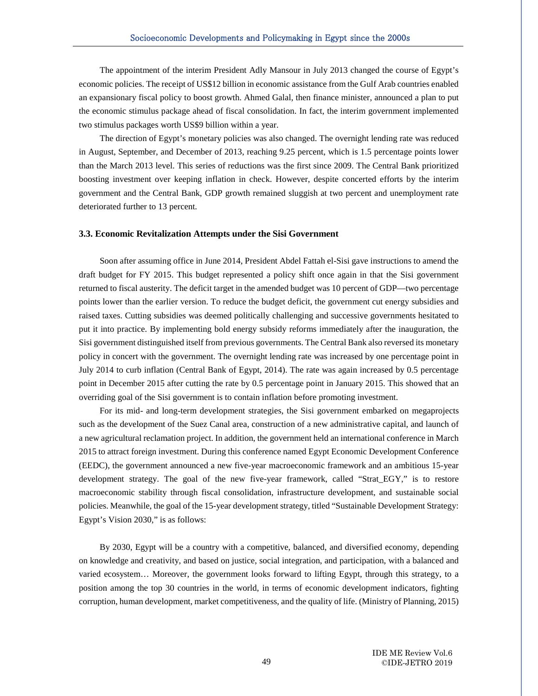The appointment of the interim President Adly Mansour in July 2013 changed the course of Egypt's economic policies. The receipt of US\$12 billion in economic assistance from the Gulf Arab countries enabled an expansionary fiscal policy to boost growth. Ahmed Galal, then finance minister, announced a plan to put the economic stimulus package ahead of fiscal consolidation. In fact, the interim government implemented two stimulus packages worth US\$9 billion within a year.

The direction of Egypt's monetary policies was also changed. The overnight lending rate was reduced in August, September, and December of 2013, reaching 9.25 percent, which is 1.5 percentage points lower than the March 2013 level. This series of reductions was the first since 2009. The Central Bank prioritized boosting investment over keeping inflation in check. However, despite concerted efforts by the interim government and the Central Bank, GDP growth remained sluggish at two percent and unemployment rate deteriorated further to 13 percent.

#### **3.3. Economic Revitalization Attempts under the Sisi Government**

Ī

Soon after assuming office in June 2014, President Abdel Fattah el-Sisi gave instructions to amend the draft budget for FY 2015. This budget represented a policy shift once again in that the Sisi government returned to fiscal austerity. The deficit target in the amended budget was 10 percent of GDP—two percentage points lower than the earlier version. To reduce the budget deficit, the government cut energy subsidies and raised taxes. Cutting subsidies was deemed politically challenging and successive governments hesitated to put it into practice. By implementing bold energy subsidy reforms immediately after the inauguration, the Sisi government distinguished itself from previous governments. The Central Bank also reversed its monetary policy in concert with the government. The overnight lending rate was increased by one percentage point in July 2014 to curb inflation (Central Bank of Egypt, 2014). The rate was again increased by 0.5 percentage point in December 2015 after cutting the rate by 0.5 percentage point in January 2015. This showed that an overriding goal of the Sisi government is to contain inflation before promoting investment.

For its mid- and long-term development strategies, the Sisi government embarked on megaprojects such as the development of the Suez Canal area, construction of a new administrative capital, and launch of a new agricultural reclamation project. In addition, the government held an international conference in March 2015 to attract foreign investment. During this conference named Egypt Economic Development Conference (EEDC), the government announced a new five-year macroeconomic framework and an ambitious 15-year development strategy. The goal of the new five-year framework, called "Strat\_EGY," is to restore macroeconomic stability through fiscal consolidation, infrastructure development, and sustainable social policies. Meanwhile, the goal of the 15-year development strategy, titled "Sustainable Development Strategy: Egypt's Vision 2030," is as follows:

By 2030, Egypt will be a country with a competitive, balanced, and diversified economy, depending on knowledge and creativity, and based on justice, social integration, and participation, with a balanced and varied ecosystem… Moreover, the government looks forward to lifting Egypt, through this strategy, to a position among the top 30 countries in the world, in terms of economic development indicators, fighting corruption, human development, market competitiveness, and the quality of life. (Ministry of Planning, 2015)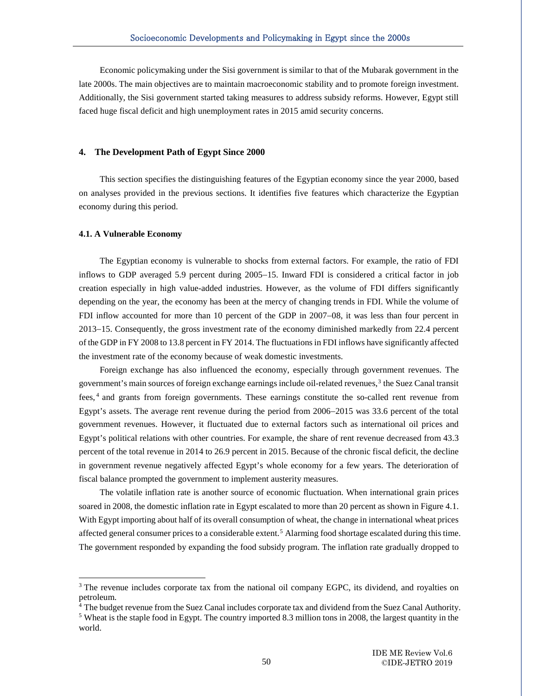Economic policymaking under the Sisi government is similar to that of the Mubarak government in the late 2000s. The main objectives are to maintain macroeconomic stability and to promote foreign investment. Additionally, the Sisi government started taking measures to address subsidy reforms. However, Egypt still faced huge fiscal deficit and high unemployment rates in 2015 amid security concerns.

#### **4. The Development Path of Egypt Since 2000**

This section specifies the distinguishing features of the Egyptian economy since the year 2000, based on analyses provided in the previous sections. It identifies five features which characterize the Egyptian economy during this period.

#### **4.1. A Vulnerable Economy**

Ī

-

The Egyptian economy is vulnerable to shocks from external factors. For example, the ratio of FDI inflows to GDP averaged 5.9 percent during 2005−15. Inward FDI is considered a critical factor in job creation especially in high value-added industries. However, as the volume of FDI differs significantly depending on the year, the economy has been at the mercy of changing trends in FDI. While the volume of FDI inflow accounted for more than 10 percent of the GDP in 2007−08, it was less than four percent in 2013−15. Consequently, the gross investment rate of the economy diminished markedly from 22.4 percent of the GDP in FY 2008 to 13.8 percent in FY 2014. The fluctuations in FDI inflows have significantly affected the investment rate of the economy because of weak domestic investments.

Foreign exchange has also influenced the economy, especially through government revenues. The government's main sources of foreign exchange earnings include oil-related revenues,[3](#page-13-0) the Suez Canal transit fees, [4](#page-13-1) and grants from foreign governments. These earnings constitute the so-called rent revenue from Egypt's assets. The average rent revenue during the period from 2006−2015 was 33.6 percent of the total government revenues. However, it fluctuated due to external factors such as international oil prices and Egypt's political relations with other countries. For example, the share of rent revenue decreased from 43.3 percent of the total revenue in 2014 to 26.9 percent in 2015. Because of the chronic fiscal deficit, the decline in government revenue negatively affected Egypt's whole economy for a few years. The deterioration of fiscal balance prompted the government to implement austerity measures.

The volatile inflation rate is another source of economic fluctuation. When international grain prices soared in 2008, the domestic inflation rate in Egypt escalated to more than 20 percent as shown in Figure 4.1. With Egypt importing about half of its overall consumption of wheat, the change in international wheat prices affected general consumer prices to a considerable extent.<sup>[5](#page-13-2)</sup> Alarming food shortage escalated during this time. The government responded by expanding the food subsidy program. The inflation rate gradually dropped to

<span id="page-13-0"></span><sup>&</sup>lt;sup>3</sup> The revenue includes corporate tax from the national oil company EGPC, its dividend, and royalties on petroleum.

<span id="page-13-1"></span> $4$  The budget revenue from the Suez Canal includes corporate tax and dividend from the Suez Canal Authority.

<span id="page-13-2"></span><sup>&</sup>lt;sup>5</sup> Wheat is the staple food in Egypt. The country imported 8.3 million tons in 2008, the largest quantity in the world.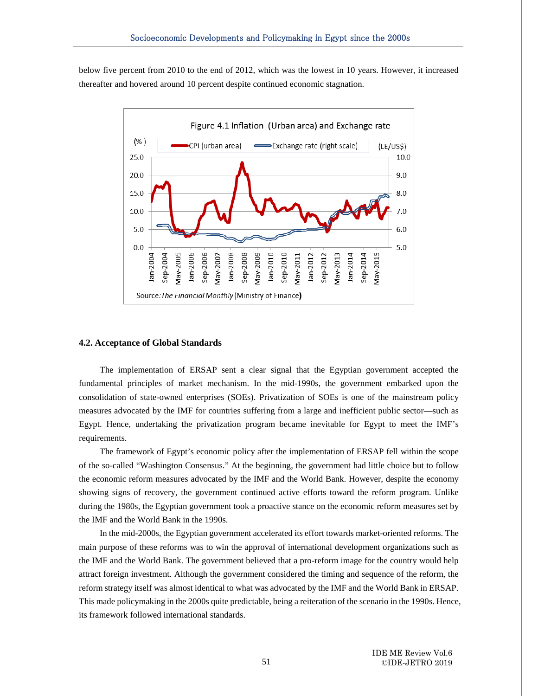below five percent from 2010 to the end of 2012, which was the lowest in 10 years. However, it increased thereafter and hovered around 10 percent despite continued economic stagnation.



#### **4.2. Acceptance of Global Standards**

Ī

The implementation of ERSAP sent a clear signal that the Egyptian government accepted the fundamental principles of market mechanism. In the mid-1990s, the government embarked upon the consolidation of state-owned enterprises (SOEs). Privatization of SOEs is one of the mainstream policy measures advocated by the IMF for countries suffering from a large and inefficient public sector—such as Egypt. Hence, undertaking the privatization program became inevitable for Egypt to meet the IMF's requirements.

The framework of Egypt's economic policy after the implementation of ERSAP fell within the scope of the so-called "Washington Consensus." At the beginning, the government had little choice but to follow the economic reform measures advocated by the IMF and the World Bank. However, despite the economy showing signs of recovery, the government continued active efforts toward the reform program. Unlike during the 1980s, the Egyptian government took a proactive stance on the economic reform measures set by the IMF and the World Bank in the 1990s.

In the mid-2000s, the Egyptian government accelerated its effort towards market-oriented reforms. The main purpose of these reforms was to win the approval of international development organizations such as the IMF and the World Bank. The government believed that a pro-reform image for the country would help attract foreign investment. Although the government considered the timing and sequence of the reform, the reform strategy itself was almost identical to what was advocated by the IMF and the World Bank in ERSAP. This made policymaking in the 2000s quite predictable, being a reiteration of the scenario in the 1990s. Hence, its framework followed international standards.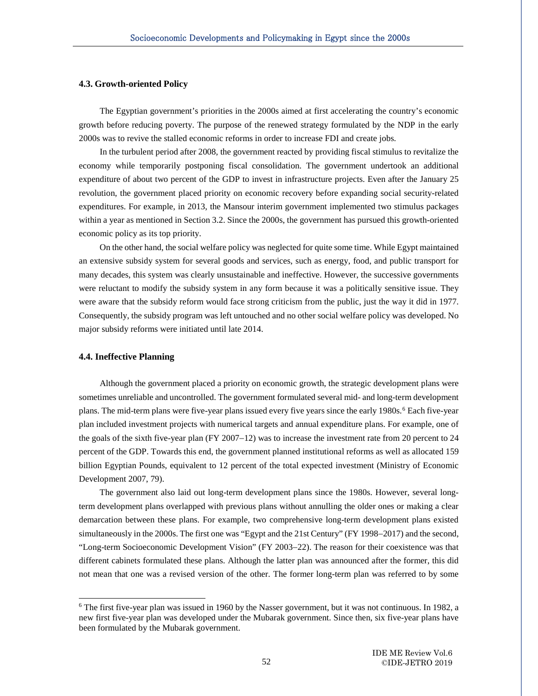#### **4.3. Growth-oriented Policy**

Ī

The Egyptian government's priorities in the 2000s aimed at first accelerating the country's economic growth before reducing poverty. The purpose of the renewed strategy formulated by the NDP in the early 2000s was to revive the stalled economic reforms in order to increase FDI and create jobs.

In the turbulent period after 2008, the government reacted by providing fiscal stimulus to revitalize the economy while temporarily postponing fiscal consolidation. The government undertook an additional expenditure of about two percent of the GDP to invest in infrastructure projects. Even after the January 25 revolution, the government placed priority on economic recovery before expanding social security-related expenditures. For example, in 2013, the Mansour interim government implemented two stimulus packages within a year as mentioned in Section 3.2. Since the 2000s, the government has pursued this growth-oriented economic policy as its top priority.

On the other hand, the social welfare policy was neglected for quite some time. While Egypt maintained an extensive subsidy system for several goods and services, such as energy, food, and public transport for many decades, this system was clearly unsustainable and ineffective. However, the successive governments were reluctant to modify the subsidy system in any form because it was a politically sensitive issue. They were aware that the subsidy reform would face strong criticism from the public, just the way it did in 1977. Consequently, the subsidy program was left untouched and no other social welfare policy was developed. No major subsidy reforms were initiated until late 2014.

#### **4.4. Ineffective Planning**

l

Although the government placed a priority on economic growth, the strategic development plans were sometimes unreliable and uncontrolled. The government formulated several mid- and long-term development plans. The mid-term plans were five-year plans issued every five years since the early 1980s.<sup>[6](#page-15-0)</sup> Each five-year plan included investment projects with numerical targets and annual expenditure plans. For example, one of the goals of the sixth five-year plan (FY 2007−12) was to increase the investment rate from 20 percent to 24 percent of the GDP. Towards this end, the government planned institutional reforms as well as allocated 159 billion Egyptian Pounds, equivalent to 12 percent of the total expected investment (Ministry of Economic Development 2007, 79).

The government also laid out long-term development plans since the 1980s. However, several longterm development plans overlapped with previous plans without annulling the older ones or making a clear demarcation between these plans. For example, two comprehensive long-term development plans existed simultaneously in the 2000s. The first one was "Egypt and the 21st Century" (FY 1998−2017) and the second, "Long-term Socioeconomic Development Vision" (FY 2003−22). The reason for their coexistence was that different cabinets formulated these plans. Although the latter plan was announced after the former, this did not mean that one was a revised version of the other. The former long-term plan was referred to by some

<span id="page-15-0"></span><sup>6</sup> The first five-year plan was issued in 1960 by the Nasser government, but it was not continuous. In 1982, a new first five-year plan was developed under the Mubarak government. Since then, six five-year plans have been formulated by the Mubarak government.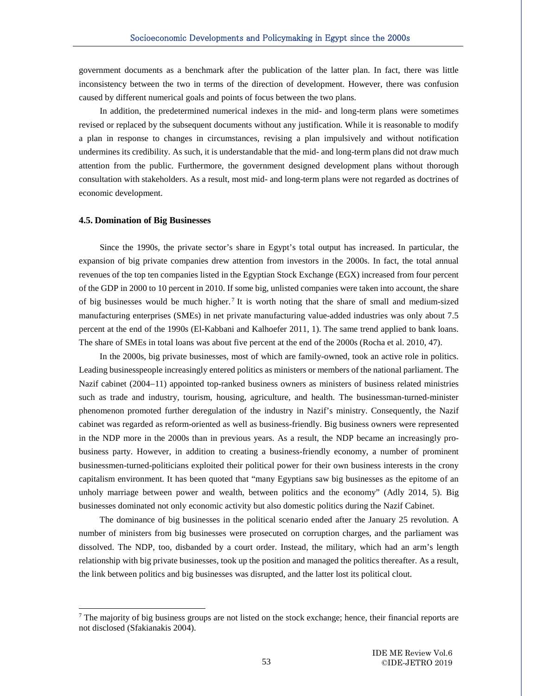government documents as a benchmark after the publication of the latter plan. In fact, there was little inconsistency between the two in terms of the direction of development. However, there was confusion caused by different numerical goals and points of focus between the two plans.

In addition, the predetermined numerical indexes in the mid- and long-term plans were sometimes revised or replaced by the subsequent documents without any justification. While it is reasonable to modify a plan in response to changes in circumstances, revising a plan impulsively and without notification undermines its credibility. As such, it is understandable that the mid- and long-term plans did not draw much attention from the public. Furthermore, the government designed development plans without thorough consultation with stakeholders. As a result, most mid- and long-term plans were not regarded as doctrines of economic development.

#### **4.5. Domination of Big Businesses**

Ī

-

Since the 1990s, the private sector's share in Egypt's total output has increased. In particular, the expansion of big private companies drew attention from investors in the 2000s. In fact, the total annual revenues of the top ten companies listed in the Egyptian Stock Exchange (EGX) increased from four percent of the GDP in 2000 to 10 percent in 2010. If some big, unlisted companies were taken into account, the share of big businesses would be much higher.<sup>[7](#page-16-0)</sup> It is worth noting that the share of small and medium-sized manufacturing enterprises (SMEs) in net private manufacturing value-added industries was only about 7.5 percent at the end of the 1990s (El-Kabbani and Kalhoefer 2011, 1). The same trend applied to bank loans. The share of SMEs in total loans was about five percent at the end of the 2000s (Rocha et al. 2010, 47).

In the 2000s, big private businesses, most of which are family-owned, took an active role in politics. Leading businesspeople increasingly entered politics as ministers or members of the national parliament. The Nazif cabinet (2004−11) appointed top-ranked business owners as ministers of business related ministries such as trade and industry, tourism, housing, agriculture, and health. The businessman-turned-minister phenomenon promoted further deregulation of the industry in Nazif's ministry. Consequently, the Nazif cabinet was regarded as reform-oriented as well as business-friendly. Big business owners were represented in the NDP more in the 2000s than in previous years. As a result, the NDP became an increasingly probusiness party. However, in addition to creating a business-friendly economy, a number of prominent businessmen-turned-politicians exploited their political power for their own business interests in the crony capitalism environment. It has been quoted that "many Egyptians saw big businesses as the epitome of an unholy marriage between power and wealth, between politics and the economy" (Adly 2014, 5). Big businesses dominated not only economic activity but also domestic politics during the Nazif Cabinet.

The dominance of big businesses in the political scenario ended after the January 25 revolution. A number of ministers from big businesses were prosecuted on corruption charges, and the parliament was dissolved. The NDP, too, disbanded by a court order. Instead, the military, which had an arm's length relationship with big private businesses, took up the position and managed the politics thereafter. As a result, the link between politics and big businesses was disrupted, and the latter lost its political clout.

<span id="page-16-0"></span><sup>&</sup>lt;sup>7</sup> The majority of big business groups are not listed on the stock exchange; hence, their financial reports are not disclosed (Sfakianakis 2004).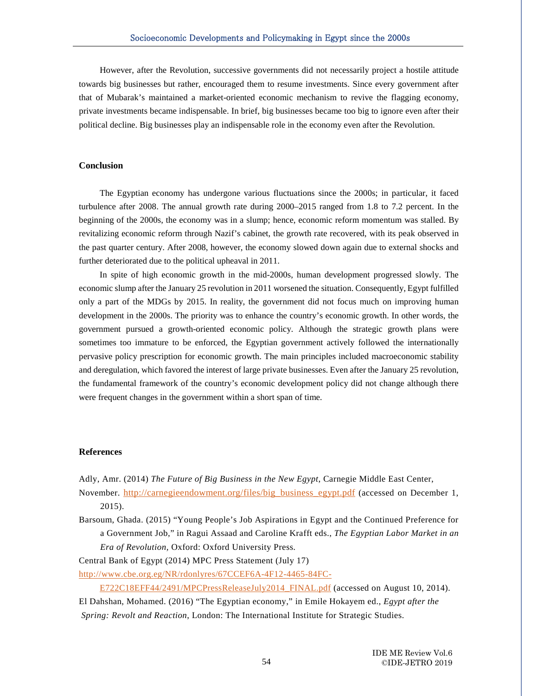However, after the Revolution, successive governments did not necessarily project a hostile attitude towards big businesses but rather, encouraged them to resume investments. Since every government after that of Mubarak's maintained a market-oriented economic mechanism to revive the flagging economy, private investments became indispensable. In brief, big businesses became too big to ignore even after their political decline. Big businesses play an indispensable role in the economy even after the Revolution.

#### **Conclusion**

Ī

The Egyptian economy has undergone various fluctuations since the 2000s; in particular, it faced turbulence after 2008. The annual growth rate during 2000–2015 ranged from 1.8 to 7.2 percent. In the beginning of the 2000s, the economy was in a slump; hence, economic reform momentum was stalled. By revitalizing economic reform through Nazif's cabinet, the growth rate recovered, with its peak observed in the past quarter century. After 2008, however, the economy slowed down again due to external shocks and further deteriorated due to the political upheaval in 2011.

In spite of high economic growth in the mid-2000s, human development progressed slowly. The economic slump after the January 25 revolution in 2011 worsened the situation. Consequently, Egypt fulfilled only a part of the MDGs by 2015. In reality, the government did not focus much on improving human development in the 2000s. The priority was to enhance the country's economic growth. In other words, the government pursued a growth-oriented economic policy. Although the strategic growth plans were sometimes too immature to be enforced, the Egyptian government actively followed the internationally pervasive policy prescription for economic growth. The main principles included macroeconomic stability and deregulation, which favored the interest of large private businesses. Even after the January 25 revolution, the fundamental framework of the country's economic development policy did not change although there were frequent changes in the government within a short span of time.

#### **References**

Adly, Amr. (2014) *The Future of Big Business in the New Egypt*, Carnegie Middle East Center,

- November. [http://carnegieendowment.org/files/big\\_business\\_egypt.pdf](http://carnegieendowment.org/files/big_business_egypt.pdf) (accessed on December 1, 2015).
- Barsoum, Ghada. (2015) "Young People's Job Aspirations in Egypt and the Continued Preference for a Government Job," in Ragui Assaad and Caroline Krafft eds., *The Egyptian Labor Market in an Era of Revolution,* Oxford: Oxford University Press.

Central Bank of Egypt (2014) MPC Press Statement (July 17)

[http://www.cbe.org.eg/NR/rdonlyres/67CCEF6A-4F12-4465-84FC-](http://www.cbe.org.eg/NR/rdonlyres/67CCEF6A-4F12-4465-84FC-E722C18EFF44/2491/MPCPressReleaseJuly2014_FINAL.pdf)

E722C18EFF44/2491/MPCPressReleaseJuly2014 FINAL.pdf (accessed on August 10, 2014). El Dahshan, Mohamed. (2016) "The Egyptian economy," in Emile Hokayem ed., *Egypt after the Spring: Revolt and Reaction*, London: The International Institute for Strategic Studies.